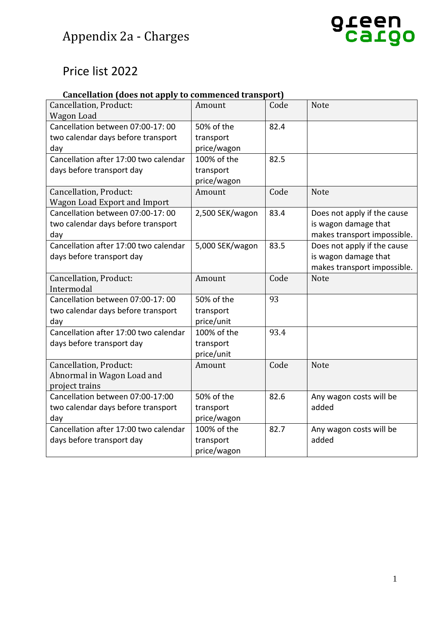## Price list 2022

### **Cancellation (does not apply to commenced transport)**

| Cancellation, Product:                | Amount          | Code | <b>Note</b>                 |
|---------------------------------------|-----------------|------|-----------------------------|
| Wagon Load                            |                 |      |                             |
| Cancellation between 07:00-17:00      | 50% of the      | 82.4 |                             |
| two calendar days before transport    | transport       |      |                             |
| day                                   | price/wagon     |      |                             |
| Cancellation after 17:00 two calendar | 100% of the     | 82.5 |                             |
| days before transport day             | transport       |      |                             |
|                                       | price/wagon     |      |                             |
| Cancellation, Product:                | Amount          | Code | <b>Note</b>                 |
| <b>Wagon Load Export and Import</b>   |                 |      |                             |
| Cancellation between 07:00-17:00      | 2,500 SEK/wagon | 83.4 | Does not apply if the cause |
| two calendar days before transport    |                 |      | is wagon damage that        |
| day                                   |                 |      | makes transport impossible. |
| Cancellation after 17:00 two calendar | 5,000 SEK/wagon | 83.5 | Does not apply if the cause |
| days before transport day             |                 |      | is wagon damage that        |
|                                       |                 |      | makes transport impossible. |
| Cancellation, Product:                | Amount          | Code | <b>Note</b>                 |
| Intermodal                            |                 |      |                             |
| Cancellation between 07:00-17:00      | 50% of the      | 93   |                             |
| two calendar days before transport    | transport       |      |                             |
| day                                   | price/unit      |      |                             |
| Cancellation after 17:00 two calendar | 100% of the     | 93.4 |                             |
| days before transport day             | transport       |      |                             |
|                                       | price/unit      |      |                             |
| Cancellation, Product:                | Amount          | Code | <b>Note</b>                 |
| Abnormal in Wagon Load and            |                 |      |                             |
| project trains                        |                 |      |                             |
| Cancellation between 07:00-17:00      | 50% of the      | 82.6 | Any wagon costs will be     |
| two calendar days before transport    | transport       |      | added                       |
| day                                   | price/wagon     |      |                             |
| Cancellation after 17:00 two calendar | 100% of the     | 82.7 | Any wagon costs will be     |
| days before transport day             | transport       |      | added                       |
|                                       | price/wagon     |      |                             |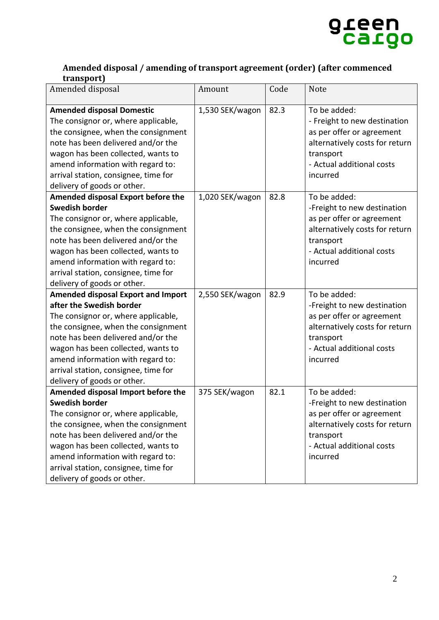

#### **Amended disposal / amending of transport agreement (order) (after commenced transport)**

| Amended disposal                                                          | Amount          | Code | Note                                        |
|---------------------------------------------------------------------------|-----------------|------|---------------------------------------------|
| <b>Amended disposal Domestic</b>                                          | 1,530 SEK/wagon | 82.3 | To be added:                                |
| The consignor or, where applicable,                                       |                 |      | - Freight to new destination                |
| the consignee, when the consignment                                       |                 |      | as per offer or agreement                   |
| note has been delivered and/or the                                        |                 |      | alternatively costs for return              |
| wagon has been collected, wants to                                        |                 |      | transport                                   |
| amend information with regard to:                                         |                 |      | - Actual additional costs                   |
| arrival station, consignee, time for                                      |                 |      | incurred                                    |
| delivery of goods or other.                                               |                 |      |                                             |
| Amended disposal Export before the                                        | 1,020 SEK/wagon | 82.8 | To be added:                                |
| <b>Swedish border</b>                                                     |                 |      | -Freight to new destination                 |
| The consignor or, where applicable,                                       |                 |      | as per offer or agreement                   |
| the consignee, when the consignment                                       |                 |      | alternatively costs for return              |
| note has been delivered and/or the                                        |                 |      | transport                                   |
| wagon has been collected, wants to                                        |                 |      | - Actual additional costs                   |
| amend information with regard to:                                         |                 |      | incurred                                    |
| arrival station, consignee, time for                                      |                 |      |                                             |
| delivery of goods or other.                                               |                 |      |                                             |
| <b>Amended disposal Export and Import</b>                                 | 2,550 SEK/wagon | 82.9 | To be added:                                |
| after the Swedish border                                                  |                 |      | -Freight to new destination                 |
| The consignor or, where applicable,                                       |                 |      | as per offer or agreement                   |
| the consignee, when the consignment                                       |                 |      | alternatively costs for return              |
| note has been delivered and/or the                                        |                 |      | transport                                   |
| wagon has been collected, wants to                                        |                 |      | - Actual additional costs                   |
| amend information with regard to:                                         |                 |      | incurred                                    |
| arrival station, consignee, time for                                      |                 |      |                                             |
| delivery of goods or other.                                               |                 |      |                                             |
| Amended disposal Import before the<br><b>Swedish border</b>               | 375 SEK/wagon   | 82.1 | To be added:                                |
|                                                                           |                 |      | -Freight to new destination                 |
| The consignor or, where applicable,                                       |                 |      | as per offer or agreement                   |
| the consignee, when the consignment<br>note has been delivered and/or the |                 |      | alternatively costs for return<br>transport |
| wagon has been collected, wants to                                        |                 |      | - Actual additional costs                   |
| amend information with regard to:                                         |                 |      | incurred                                    |
| arrival station, consignee, time for                                      |                 |      |                                             |
| delivery of goods or other.                                               |                 |      |                                             |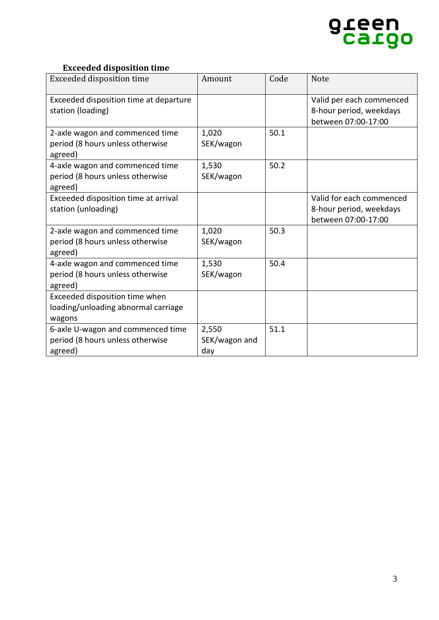

#### **Exceeded disposition time**

| <b>Exceeded disposition time</b>                                               | Amount             | Code | <b>Note</b>                                         |
|--------------------------------------------------------------------------------|--------------------|------|-----------------------------------------------------|
| Exceeded disposition time at departure<br>station (loading)                    |                    |      | Valid per each commenced<br>8-hour period, weekdays |
|                                                                                |                    |      | between 07:00-17:00                                 |
| 2-axle wagon and commenced time<br>period (8 hours unless otherwise<br>agreed) | 1,020<br>SEK/wagon | 50.1 |                                                     |
| 4-axle wagon and commenced time                                                | 1,530              | 50.2 |                                                     |
| period (8 hours unless otherwise<br>agreed)                                    | SEK/wagon          |      |                                                     |
| Exceeded disposition time at arrival                                           |                    |      | Valid for each commenced                            |
| station (unloading)                                                            |                    |      | 8-hour period, weekdays                             |
|                                                                                |                    |      | between 07:00-17:00                                 |
| 2-axle wagon and commenced time                                                | 1,020              | 50.3 |                                                     |
| period (8 hours unless otherwise                                               | SEK/wagon          |      |                                                     |
| agreed)                                                                        |                    |      |                                                     |
| 4-axle wagon and commenced time                                                | 1,530              | 50.4 |                                                     |
| period (8 hours unless otherwise<br>agreed)                                    | SEK/wagon          |      |                                                     |
| Exceeded disposition time when                                                 |                    |      |                                                     |
| loading/unloading abnormal carriage                                            |                    |      |                                                     |
| wagons                                                                         |                    |      |                                                     |
| 6-axle U-wagon and commenced time                                              | 2,550              | 51.1 |                                                     |
| period (8 hours unless otherwise                                               | SEK/wagon and      |      |                                                     |
| agreed)                                                                        | day                |      |                                                     |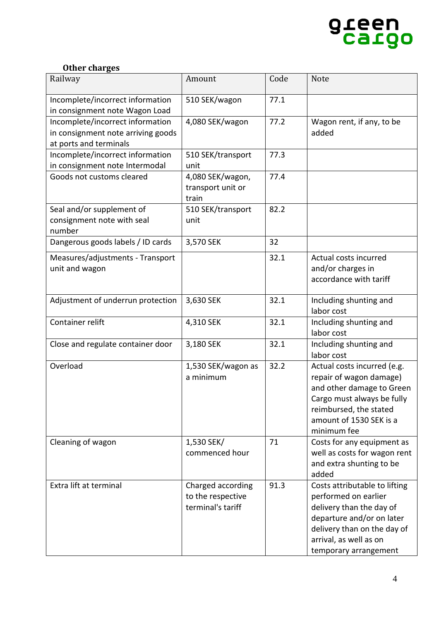

#### **Other charges**

| Railway                                                                                          | Amount                                                      | Code | <b>Note</b>                                                                                                                                                                                      |
|--------------------------------------------------------------------------------------------------|-------------------------------------------------------------|------|--------------------------------------------------------------------------------------------------------------------------------------------------------------------------------------------------|
| Incomplete/incorrect information<br>in consignment note Wagon Load                               | 510 SEK/wagon                                               | 77.1 |                                                                                                                                                                                                  |
| Incomplete/incorrect information<br>in consignment note arriving goods<br>at ports and terminals | 4,080 SEK/wagon                                             | 77.2 | Wagon rent, if any, to be<br>added                                                                                                                                                               |
| Incomplete/incorrect information<br>in consignment note Intermodal                               | 510 SEK/transport<br>unit                                   | 77.3 |                                                                                                                                                                                                  |
| Goods not customs cleared                                                                        | 4,080 SEK/wagon,<br>transport unit or<br>train              | 77.4 |                                                                                                                                                                                                  |
| Seal and/or supplement of<br>consignment note with seal<br>number                                | 510 SEK/transport<br>unit                                   | 82.2 |                                                                                                                                                                                                  |
| Dangerous goods labels / ID cards                                                                | 3,570 SEK                                                   | 32   |                                                                                                                                                                                                  |
| Measures/adjustments - Transport<br>unit and wagon                                               |                                                             | 32.1 | Actual costs incurred<br>and/or charges in<br>accordance with tariff                                                                                                                             |
| Adjustment of underrun protection                                                                | 3,630 SEK                                                   | 32.1 | Including shunting and<br>labor cost                                                                                                                                                             |
| Container relift                                                                                 | 4,310 SEK                                                   | 32.1 | Including shunting and<br>labor cost                                                                                                                                                             |
| Close and regulate container door                                                                | 3,180 SEK                                                   | 32.1 | Including shunting and<br>labor cost                                                                                                                                                             |
| Overload                                                                                         | 1,530 SEK/wagon as<br>a minimum                             | 32.2 | Actual costs incurred (e.g.<br>repair of wagon damage)<br>and other damage to Green<br>Cargo must always be fully<br>reimbursed, the stated<br>amount of 1530 SEK is a<br>minimum fee            |
| Cleaning of wagon                                                                                | 1,530 SEK/<br>commenced hour                                | 71   | Costs for any equipment as<br>well as costs for wagon rent<br>and extra shunting to be<br>added                                                                                                  |
| Extra lift at terminal                                                                           | Charged according<br>to the respective<br>terminal's tariff | 91.3 | Costs attributable to lifting<br>performed on earlier<br>delivery than the day of<br>departure and/or on later<br>delivery than on the day of<br>arrival, as well as on<br>temporary arrangement |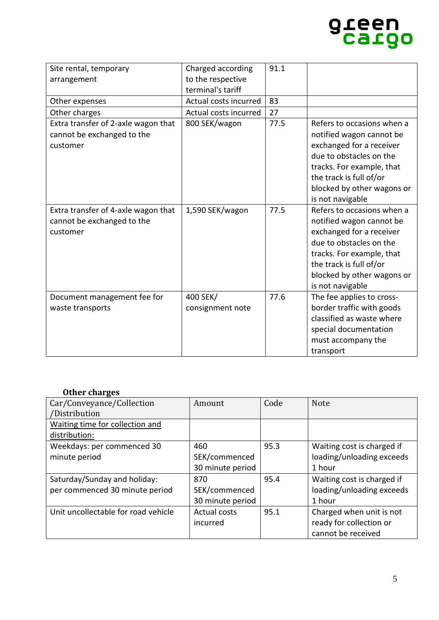# green<br>Cargo

| Site rental, temporary                                                        | Charged according            | 91.1 |                                                                                                                                                                                                                         |
|-------------------------------------------------------------------------------|------------------------------|------|-------------------------------------------------------------------------------------------------------------------------------------------------------------------------------------------------------------------------|
| arrangement                                                                   | to the respective            |      |                                                                                                                                                                                                                         |
|                                                                               | terminal's tariff            |      |                                                                                                                                                                                                                         |
| Other expenses                                                                | Actual costs incurred        | 83   |                                                                                                                                                                                                                         |
| Other charges                                                                 | Actual costs incurred        | 27   |                                                                                                                                                                                                                         |
| Extra transfer of 2-axle wagon that<br>cannot be exchanged to the<br>customer | 800 SEK/wagon                | 77.5 | Refers to occasions when a<br>notified wagon cannot be<br>exchanged for a receiver<br>due to obstacles on the<br>tracks. For example, that<br>the track is full of/or<br>blocked by other wagons or<br>is not navigable |
| Extra transfer of 4-axle wagon that<br>cannot be exchanged to the<br>customer | 1,590 SEK/wagon              | 77.5 | Refers to occasions when a<br>notified wagon cannot be<br>exchanged for a receiver<br>due to obstacles on the<br>tracks. For example, that<br>the track is full of/or<br>blocked by other wagons or<br>is not navigable |
| Document management fee for<br>waste transports                               | 400 SEK/<br>consignment note | 77.6 | The fee applies to cross-<br>border traffic with goods<br>classified as waste where<br>special documentation<br>must accompany the<br>transport                                                                         |

#### **Other charges**

| Car/Conveyance/Collection           | Amount              | Code | <b>Note</b>                |
|-------------------------------------|---------------------|------|----------------------------|
| /Distribution                       |                     |      |                            |
| Waiting time for collection and     |                     |      |                            |
| distribution:                       |                     |      |                            |
| Weekdays: per commenced 30          | 460                 | 95.3 | Waiting cost is charged if |
| minute period                       | SEK/commenced       |      | loading/unloading exceeds  |
|                                     | 30 minute period    |      | 1 hour                     |
| Saturday/Sunday and holiday:        | 870                 | 95.4 | Waiting cost is charged if |
| per commenced 30 minute period      | SEK/commenced       |      | loading/unloading exceeds  |
|                                     | 30 minute period    |      | 1 hour                     |
| Unit uncollectable for road vehicle | <b>Actual costs</b> | 95.1 | Charged when unit is not   |
|                                     | incurred            |      | ready for collection or    |
|                                     |                     |      | cannot be received         |